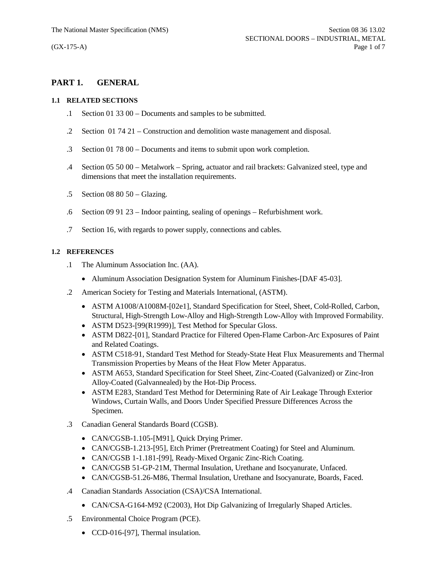# **PART 1. GENERAL**

### **1.1 RELATED SECTIONS**

- .1 Section 01 33 00 Documents and samples to be submitted.
- .2 Section 01 74 21 Construction and demolition waste management and disposal.
- .3 Section 01 78 00 Documents and items to submit upon work completion.
- .4 Section 05 50 00 Metalwork Spring, actuator and rail brackets: Galvanized steel, type and dimensions that meet the installation requirements.
- .5 Section 08 80 50 Glazing.
- .6 Section 09 91 23 Indoor painting, sealing of openings Refurbishment work.
- .7 Section 16, with regards to power supply, connections and cables.

# **1.2 REFERENCES**

- .1 The Aluminum Association Inc. (AA).
	- Aluminum Association Designation System for Aluminum Finishes-[DAF 45-03].
- .2 American Society for Testing and Materials International, (ASTM).
	- · ASTM A1008/A1008M-[02e1], Standard Specification for Steel, Sheet, Cold-Rolled, Carbon, Structural, High-Strength Low-Alloy and High-Strength Low-Alloy with Improved Formability.
	- ASTM D523-[99(R1999)], Test Method for Specular Gloss.
	- · ASTM D822-[01], Standard Practice for Filtered Open-Flame Carbon-Arc Exposures of Paint and Related Coatings.
	- · ASTM C518-91, Standard Test Method for Steady-State Heat Flux Measurements and Thermal Transmission Properties by Means of the Heat Flow Meter Apparatus.
	- · ASTM A653, Standard Specification for Steel Sheet, Zinc-Coated (Galvanized) or Zinc-Iron Alloy-Coated (Galvannealed) by the Hot-Dip Process.
	- · ASTM E283, Standard Test Method for Determining Rate of Air Leakage Through Exterior Windows, Curtain Walls, and Doors Under Specified Pressure Differences Across the Specimen.
- .3 Canadian General Standards Board (CGSB).
	- CAN/CGSB-1.105-[M91], Quick Drying Primer.
	- · CAN/CGSB-1.213-[95], Etch Primer (Pretreatment Coating) for Steel and Aluminum.
	- · CAN/CGSB 1-1.181-[99], Ready-Mixed Organic Zinc-Rich Coating.
	- · CAN/CGSB 51-GP-21M, Thermal Insulation, Urethane and Isocyanurate, Unfaced.
	- · CAN/CGSB-51.26-M86, Thermal Insulation, Urethane and Isocyanurate, Boards, Faced.
- .4 Canadian Standards Association (CSA)/CSA International.
	- CAN/CSA-G164-M92 (C2003), Hot Dip Galvanizing of Irregularly Shaped Articles.
- .5 Environmental Choice Program (PCE).
	- CCD-016-[97], Thermal insulation.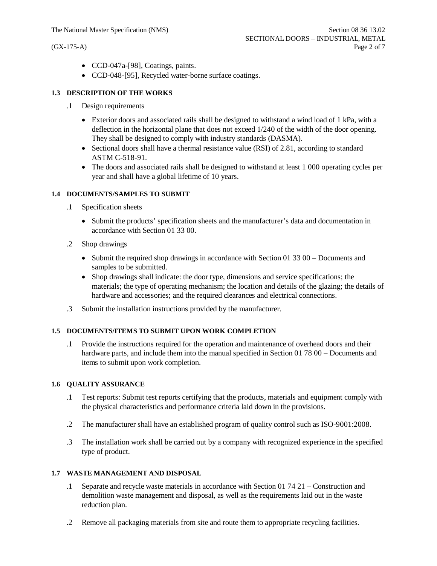- · CCD-047a-[98], Coatings, paints.
- · CCD-048-[95], Recycled water-borne surface coatings.

#### **1.3 DESCRIPTION OF THE WORKS**

- .1 Design requirements
	- Exterior doors and associated rails shall be designed to withstand a wind load of 1 kPa, with a deflection in the horizontal plane that does not exceed 1/240 of the width of the door opening. They shall be designed to comply with industry standards (DASMA).
	- Sectional doors shall have a thermal resistance value (RSI) of 2.81, according to standard ASTM C-518-91.
	- The doors and associated rails shall be designed to withstand at least 1 000 operating cycles per year and shall have a global lifetime of 10 years.

#### **1.4 DOCUMENTS/SAMPLES TO SUBMIT**

- .1 Specification sheets
	- · Submit the products' specification sheets and the manufacturer's data and documentation in accordance with Section 01 33 00.
- .2 Shop drawings
	- Submit the required shop drawings in accordance with Section 01 33 00 Documents and samples to be submitted.
	- · Shop drawings shall indicate: the door type, dimensions and service specifications; the materials; the type of operating mechanism; the location and details of the glazing; the details of hardware and accessories; and the required clearances and electrical connections.
- .3 Submit the installation instructions provided by the manufacturer.

### **1.5 DOCUMENTS/ITEMS TO SUBMIT UPON WORK COMPLETION**

.1 Provide the instructions required for the operation and maintenance of overhead doors and their hardware parts, and include them into the manual specified in Section 01 78 00 – Documents and items to submit upon work completion.

#### **1.6 QUALITY ASSURANCE**

- .1 Test reports: Submit test reports certifying that the products, materials and equipment comply with the physical characteristics and performance criteria laid down in the provisions.
- .2 The manufacturer shall have an established program of quality control such as ISO-9001:2008.
- .3 The installation work shall be carried out by a company with recognized experience in the specified type of product.

#### **1.7 WASTE MANAGEMENT AND DISPOSAL**

- .1 Separate and recycle waste materials in accordance with Section 01 74 21 Construction and demolition waste management and disposal, as well as the requirements laid out in the waste reduction plan.
- .2 Remove all packaging materials from site and route them to appropriate recycling facilities.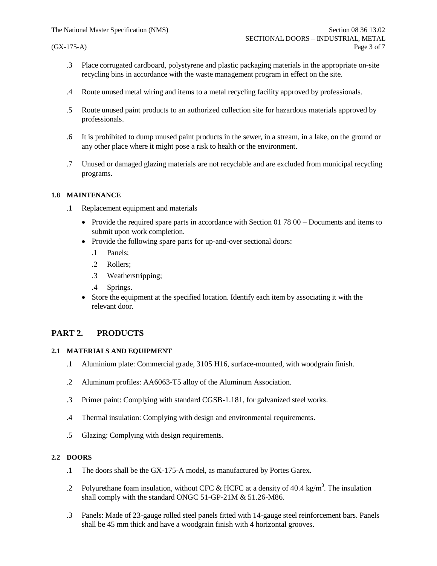- .3 Place corrugated cardboard, polystyrene and plastic packaging materials in the appropriate on-site recycling bins in accordance with the waste management program in effect on the site.
- .4 Route unused metal wiring and items to a metal recycling facility approved by professionals.
- .5 Route unused paint products to an authorized collection site for hazardous materials approved by professionals.
- .6 It is prohibited to dump unused paint products in the sewer, in a stream, in a lake, on the ground or any other place where it might pose a risk to health or the environment.
- .7 Unused or damaged glazing materials are not recyclable and are excluded from municipal recycling programs.

#### **1.8 MAINTENANCE**

- .1 Replacement equipment and materials
	- Provide the required spare parts in accordance with Section 01 78 00 Documents and items to submit upon work completion.
	- Provide the following spare parts for up-and-over sectional doors:
		- .1 Panels;
		- .2 Rollers;
		- .3 Weatherstripping;
		- .4 Springs.
	- Store the equipment at the specified location. Identify each item by associating it with the relevant door.

# **PART 2. PRODUCTS**

#### **2.1 MATERIALS AND EQUIPMENT**

- .1 Aluminium plate: Commercial grade, 3105 H16, surface-mounted, with woodgrain finish.
- .2 Aluminum profiles: AA6063-T5 alloy of the Aluminum Association.
- .3 Primer paint: Complying with standard CGSB-1.181, for galvanized steel works.
- .4 Thermal insulation: Complying with design and environmental requirements.
- .5 Glazing: Complying with design requirements.

### **2.2 DOORS**

- .1 The doors shall be the GX-175-A model, as manufactured by Portes Garex.
- .2 Polyurethane foam insulation, without CFC & HCFC at a density of 40.4 kg/m<sup>3</sup>. The insulation shall comply with the standard ONGC 51-GP-21M & 51.26-M86.
- .3 Panels: Made of 23-gauge rolled steel panels fitted with 14-gauge steel reinforcement bars. Panels shall be 45 mm thick and have a woodgrain finish with 4 horizontal grooves.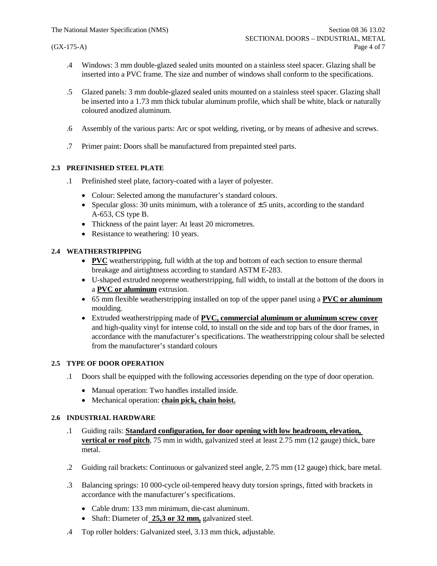- .4 Windows: 3 mm double-glazed sealed units mounted on a stainless steel spacer. Glazing shall be inserted into a PVC frame. The size and number of windows shall conform to the specifications.
- .5 Glazed panels: 3 mm double-glazed sealed units mounted on a stainless steel spacer. Glazing shall be inserted into a 1.73 mm thick tubular aluminum profile, which shall be white, black or naturally coloured anodized aluminum.
- .6 Assembly of the various parts: Arc or spot welding, riveting, or by means of adhesive and screws.
- .7 Primer paint: Doors shall be manufactured from prepainted steel parts.

### **2.3 PREFINISHED STEEL PLATE**

- .1 Prefinished steel plate, factory-coated with a layer of polyester.
	- · Colour: Selected among the manufacturer's standard colours.
	- Specular gloss: 30 units minimum, with a tolerance of  $\pm$  5 units, according to the standard A-653, CS type B.
	- Thickness of the paint layer: At least 20 micrometres.
	- Resistance to weathering: 10 years.

# **2.4 WEATHERSTRIPPING**

- · **PVC** weatherstripping, full width at the top and bottom of each section to ensure thermal breakage and airtightness according to standard ASTM E-283.
- · U-shaped extruded neoprene weatherstripping, full width, to install at the bottom of the doors in a **PVC or aluminum** extrusion.
- · 65 mm flexible weatherstripping installed on top of the upper panel using a **PVC or aluminum** moulding.
- · Extruded weatherstripping made of **PVC, commercial aluminum or aluminum screw cover** and high-quality vinyl for intense cold, to install on the side and top bars of the door frames, in accordance with the manufacturer's specifications. The weatherstripping colour shall be selected from the manufacturer's standard colours

## **2.5 TYPE OF DOOR OPERATION**

- .1 Doors shall be equipped with the following accessories depending on the type of door operation.
	- Manual operation: Two handles installed inside.
	- · Mechanical operation: **chain pick, chain hoist.**

# **2.6 INDUSTRIAL HARDWARE**

- .1 Guiding rails: **Standard configuration, for door opening with low headroom, elevation, vertical or roof pitch**, 75 mm in width, galvanized steel at least 2.75 mm (12 gauge) thick, bare metal.
- .2 Guiding rail brackets: Continuous or galvanized steel angle, 2.75 mm (12 gauge) thick, bare metal.
- .3 Balancing springs: 10 000-cycle oil-tempered heavy duty torsion springs, fitted with brackets in accordance with the manufacturer's specifications.
	- · Cable drum: 133 mm minimum, die-cast aluminum.
	- Shaft: Diameter of **25,3 or 32 mm**, galvanized steel.
- .4 Top roller holders: Galvanized steel, 3.13 mm thick, adjustable.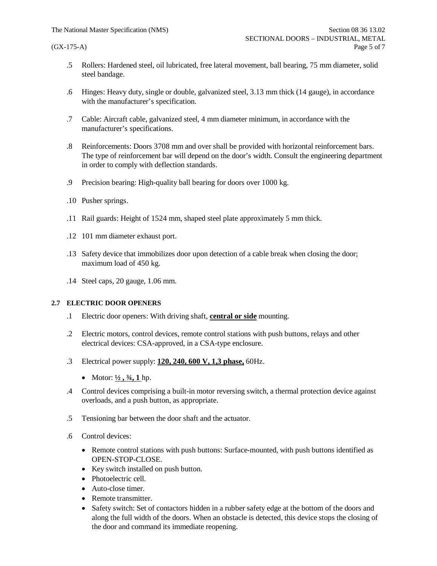- .5 Rollers: Hardened steel, oil lubricated, free lateral movement, ball bearing, 75 mm diameter, solid steel bandage.
- .6 Hinges: Heavy duty, single or double, galvanized steel, 3.13 mm thick (14 gauge), in accordance with the manufacturer's specification.
- .7 Cable: Aircraft cable, galvanized steel, 4 mm diameter minimum, in accordance with the manufacturer's specifications.
- .8 Reinforcements: Doors 3708 mm and over shall be provided with horizontal reinforcement bars. The type of reinforcement bar will depend on the door's width. Consult the engineering department in order to comply with deflection standards.
- .9 Precision bearing: High-quality ball bearing for doors over 1000 kg.
- .10 Pusher springs.
- .11 Rail guards: Height of 1524 mm, shaped steel plate approximately 5 mm thick.
- .12 101 mm diameter exhaust port.
- .13 Safety device that immobilizes door upon detection of a cable break when closing the door; maximum load of 450 kg.
- .14 Steel caps, 20 gauge, 1.06 mm.

### **2.7 ELECTRIC DOOR OPENERS**

- .1 Electric door openers: With driving shaft, **central or side** mounting.
- .2 Electric motors, control devices, remote control stations with push buttons, relays and other electrical devices: CSA-approved, in a CSA-type enclosure.
- .3 Electrical power supply: **120, 240, 600 V, 1,3 phase,** 60Hz.
	- Motor:  $\frac{1}{2}$ ,  $\frac{3}{4}$ , 1 hp.
- .4 Control devices comprising a built-in motor reversing switch, a thermal protection device against overloads, and a push button, as appropriate.
- .5 Tensioning bar between the door shaft and the actuator.
- .6 Control devices:
	- · Remote control stations with push buttons: Surface-mounted, with push buttons identified as OPEN-STOP-CLOSE.
	- Key switch installed on push button.
	- Photoelectric cell.
	- Auto-close timer.
	- Remote transmitter.
	- · Safety switch: Set of contactors hidden in a rubber safety edge at the bottom of the doors and along the full width of the doors. When an obstacle is detected, this device stops the closing of the door and command its immediate reopening.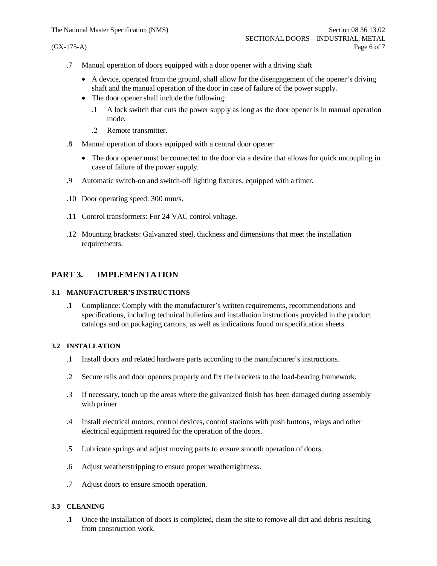- .7 Manual operation of doors equipped with a door opener with a driving shaft
	- · A device, operated from the ground, shall allow for the disengagement of the opener's driving shaft and the manual operation of the door in case of failure of the power supply.
	- The door opener shall include the following:
		- .1 A lock switch that cuts the power supply as long as the door opener is in manual operation mode.
		- .2 Remote transmitter.
- .8 Manual operation of doors equipped with a central door opener
	- The door opener must be connected to the door via a device that allows for quick uncoupling in case of failure of the power supply.
- .9 Automatic switch-on and switch-off lighting fixtures, equipped with a timer.
- .10 Door operating speed: 300 mm/s.
- .11 Control transformers: For 24 VAC control voltage.
- .12 Mounting brackets: Galvanized steel, thickness and dimensions that meet the installation requirements.

# **PART 3. IMPLEMENTATION**

# **3.1 MANUFACTURER'S INSTRUCTIONS**

.1 Compliance: Comply with the manufacturer's written requirements, recommendations and specifications, including technical bulletins and installation instructions provided in the product catalogs and on packaging cartons, as well as indications found on specification sheets.

# **3.2 INSTALLATION**

- .1 Install doors and related hardware parts according to the manufacturer's instructions.
- .2 Secure rails and door openers properly and fix the brackets to the load-bearing framework.
- .3 If necessary, touch up the areas where the galvanized finish has been damaged during assembly with primer.
- .4 Install electrical motors, control devices, control stations with push buttons, relays and other electrical equipment required for the operation of the doors.
- .5 Lubricate springs and adjust moving parts to ensure smooth operation of doors.
- .6 Adjust weatherstripping to ensure proper weathertightness.
- .7 Adjust doors to ensure smooth operation.

# **3.3 CLEANING**

.1 Once the installation of doors is completed, clean the site to remove all dirt and debris resulting from construction work.